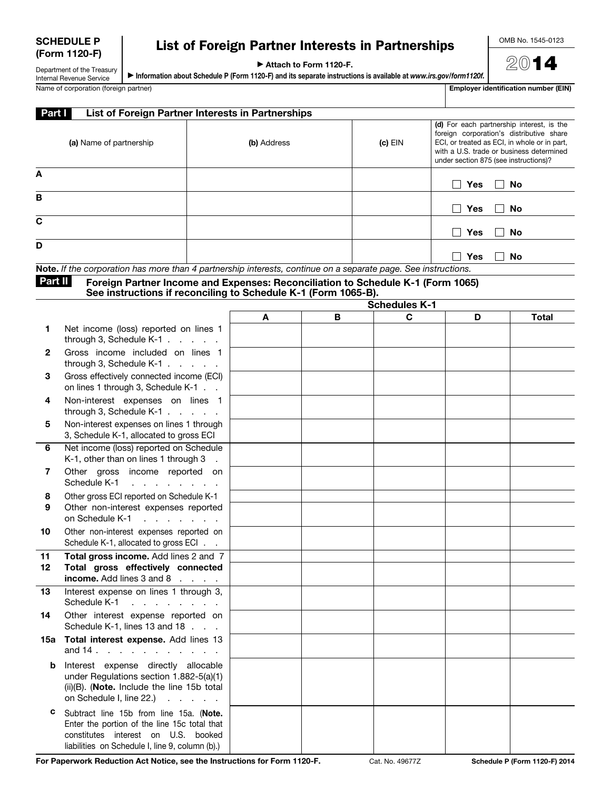| <b>SCHEDULE P</b> |
|-------------------|
| (Form 1120-F)     |

## List of Foreign Partner Interests in Partnerships

▶ Attach to Form 1120-F.

▶ Information about Schedule P (Form 1120-F) and its separate instructions is available at *www.irs.gov/form1120f.*

OMB No. 1545-0123

2014

Department of the Treasury Internal Revenue Service<br>Name of corporation (foreign partner)

|  | <b>Employer identification number (EIN)</b> |
|--|---------------------------------------------|

| <b>Part I</b> | List of Foreign Partner Interests in Partnerships                                                                                                 |             |   |                      |                                       |                                                                                                                                                                                   |
|---------------|---------------------------------------------------------------------------------------------------------------------------------------------------|-------------|---|----------------------|---------------------------------------|-----------------------------------------------------------------------------------------------------------------------------------------------------------------------------------|
|               | (a) Name of partnership                                                                                                                           | (b) Address |   | $(c)$ EIN            | under section 875 (see instructions)? | (d) For each partnership interest, is the<br>foreign corporation's distributive share<br>ECI, or treated as ECI, in whole or in part,<br>with a U.S. trade or business determined |
| A             |                                                                                                                                                   |             |   |                      | Yes<br>$\mathbf{I}$                   | No                                                                                                                                                                                |
| B             |                                                                                                                                                   |             |   |                      | Yes<br>$\mathsf{L}$                   | No                                                                                                                                                                                |
| C             |                                                                                                                                                   |             |   |                      | Yes<br>$\vert \ \ \vert$              | No                                                                                                                                                                                |
| D             |                                                                                                                                                   |             |   |                      | Yes<br>$\mathsf{L}$                   | No                                                                                                                                                                                |
|               | Note. If the corporation has more than 4 partnership interests, continue on a separate page. See instructions.                                    |             |   |                      |                                       |                                                                                                                                                                                   |
| Part II       | Foreign Partner Income and Expenses: Reconciliation to Schedule K-1 (Form 1065)<br>See instructions if reconciling to Schedule K-1 (Form 1065-B). |             |   |                      |                                       |                                                                                                                                                                                   |
|               |                                                                                                                                                   |             |   | <b>Schedules K-1</b> |                                       |                                                                                                                                                                                   |
|               |                                                                                                                                                   | A           | В | C                    | D                                     | <b>Total</b>                                                                                                                                                                      |
| 1             | Net income (loss) reported on lines 1<br>through 3, Schedule $K-1$ .                                                                              |             |   |                      |                                       |                                                                                                                                                                                   |
| 2             | Gross income included on lines 1<br>through 3, Schedule K-1 $\ldots$ $\ldots$                                                                     |             |   |                      |                                       |                                                                                                                                                                                   |
| 3             | Gross effectively connected income (ECI)<br>on lines 1 through 3, Schedule K-1                                                                    |             |   |                      |                                       |                                                                                                                                                                                   |

| 4  | Non-interest expenses on<br>lines<br>through 3, Schedule K-1.                       |
|----|-------------------------------------------------------------------------------------|
| 5  | Non-interest expenses on lines 1 through<br>3, Schedule K-1, allocated to gross ECI |
| 6  | Net income (loss) reported on Schedule<br>K-1, other than on lines 1 through 3      |
| 7  | Other<br>gross income<br>reported<br>on<br>Schedule K-1                             |
| 8  | Other gross ECI reported on Schedule K-1                                            |
| 9  | Other non-interest expenses reported<br>on Schedule K-1                             |
| 10 | Other non-interest expenses reported on<br>Schedule K-1, allocated to gross ECI.    |
|    | $\cdots$<br>$\sim$<br>_ _ _                                                         |

| 11 | <b>Total gross income.</b> Add lines 2 and 7           |  |
|----|--------------------------------------------------------|--|
| 12 | Total gross effectively connected                      |  |
|    | <b>income.</b> Add lines $3$ and $8$ $\ldots$ $\ldots$ |  |

| 13 | Interest expense on lines 1 through 3,<br>Schedule K-1              |
|----|---------------------------------------------------------------------|
| 14 | Other interest expense reported on<br>Schedule K-1, lines 13 and 18 |

| 15a Total interest expense. Add lines 13                       |  |  |  |  |  |  |
|----------------------------------------------------------------|--|--|--|--|--|--|
| and $14 \cdot \cdot \cdot \cdot \cdot \cdot \cdot \cdot \cdot$ |  |  |  |  |  |  |

**b** Interest expense directly allocable under Regulations section 1.882-5(a)(1) (ii)(B). (Note. Include the line 15b total on Schedule I, line  $22.$ )  $\ldots$   $\ldots$ 

c Subtract line 15b from line 15a. (Note. Enter the portion of the line 15c total that constitutes interest on U.S. booked liabilities on Schedule I, line 9, column (b).)